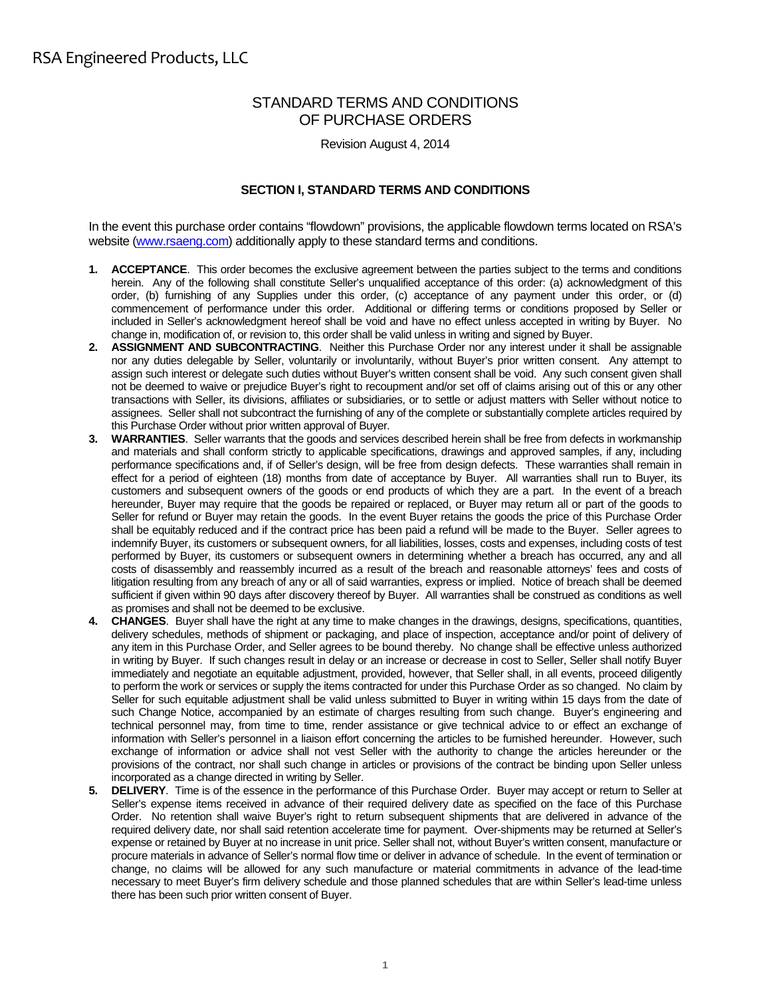# STANDARD TERMS AND CONDITIONS OF PURCHASE ORDERS

Revision August 4, 2014

# **SECTION I, STANDARD TERMS AND CONDITIONS**

In the event this purchase order contains "flowdown" provisions, the applicable flowdown terms located on RSA's website (www.rsaeng.com) additionally apply to these standard terms and conditions.

- **1. ACCEPTANCE**. This order becomes the exclusive agreement between the parties subject to the terms and conditions herein. Any of the following shall constitute Seller's unqualified acceptance of this order: (a) acknowledgment of this order, (b) furnishing of any Supplies under this order, (c) acceptance of any payment under this order, or (d) commencement of performance under this order. Additional or differing terms or conditions proposed by Seller or included in Seller's acknowledgment hereof shall be void and have no effect unless accepted in writing by Buyer. No change in, modification of, or revision to, this order shall be valid unless in writing and signed by Buyer.
- **2. ASSIGNMENT AND SUBCONTRACTING**. Neither this Purchase Order nor any interest under it shall be assignable nor any duties delegable by Seller, voluntarily or involuntarily, without Buyer's prior written consent. Any attempt to assign such interest or delegate such duties without Buyer's written consent shall be void. Any such consent given shall not be deemed to waive or prejudice Buyer's right to recoupment and/or set off of claims arising out of this or any other transactions with Seller, its divisions, affiliates or subsidiaries, or to settle or adjust matters with Seller without notice to assignees. Seller shall not subcontract the furnishing of any of the complete or substantially complete articles required by this Purchase Order without prior written approval of Buyer.
- **3. WARRANTIES**. Seller warrants that the goods and services described herein shall be free from defects in workmanship and materials and shall conform strictly to applicable specifications, drawings and approved samples, if any, including performance specifications and, if of Seller's design, will be free from design defects. These warranties shall remain in effect for a period of eighteen (18) months from date of acceptance by Buyer. All warranties shall run to Buyer, its customers and subsequent owners of the goods or end products of which they are a part. In the event of a breach hereunder, Buyer may require that the goods be repaired or replaced, or Buyer may return all or part of the goods to Seller for refund or Buyer may retain the goods. In the event Buyer retains the goods the price of this Purchase Order shall be equitably reduced and if the contract price has been paid a refund will be made to the Buyer. Seller agrees to indemnify Buyer, its customers or subsequent owners, for all liabilities, losses, costs and expenses, including costs of test performed by Buyer, its customers or subsequent owners in determining whether a breach has occurred, any and all costs of disassembly and reassembly incurred as a result of the breach and reasonable attorneys' fees and costs of litigation resulting from any breach of any or all of said warranties, express or implied. Notice of breach shall be deemed sufficient if given within 90 days after discovery thereof by Buyer. All warranties shall be construed as conditions as well as promises and shall not be deemed to be exclusive.
- **4. CHANGES**. Buyer shall have the right at any time to make changes in the drawings, designs, specifications, quantities, delivery schedules, methods of shipment or packaging, and place of inspection, acceptance and/or point of delivery of any item in this Purchase Order, and Seller agrees to be bound thereby. No change shall be effective unless authorized in writing by Buyer. If such changes result in delay or an increase or decrease in cost to Seller, Seller shall notify Buyer immediately and negotiate an equitable adjustment, provided, however, that Seller shall, in all events, proceed diligently to perform the work or services or supply the items contracted for under this Purchase Order as so changed. No claim by Seller for such equitable adjustment shall be valid unless submitted to Buyer in writing within 15 days from the date of such Change Notice, accompanied by an estimate of charges resulting from such change. Buyer's engineering and technical personnel may, from time to time, render assistance or give technical advice to or effect an exchange of information with Seller's personnel in a liaison effort concerning the articles to be furnished hereunder. However, such exchange of information or advice shall not vest Seller with the authority to change the articles hereunder or the provisions of the contract, nor shall such change in articles or provisions of the contract be binding upon Seller unless incorporated as a change directed in writing by Seller.
- **5. DELIVERY**. Time is of the essence in the performance of this Purchase Order. Buyer may accept or return to Seller at Seller's expense items received in advance of their required delivery date as specified on the face of this Purchase Order. No retention shall waive Buyer's right to return subsequent shipments that are delivered in advance of the required delivery date, nor shall said retention accelerate time for payment. Over-shipments may be returned at Seller's expense or retained by Buyer at no increase in unit price. Seller shall not, without Buyer's written consent, manufacture or procure materials in advance of Seller's normal flow time or deliver in advance of schedule. In the event of termination or change, no claims will be allowed for any such manufacture or material commitments in advance of the lead-time necessary to meet Buyer's firm delivery schedule and those planned schedules that are within Seller's lead-time unless there has been such prior written consent of Buyer.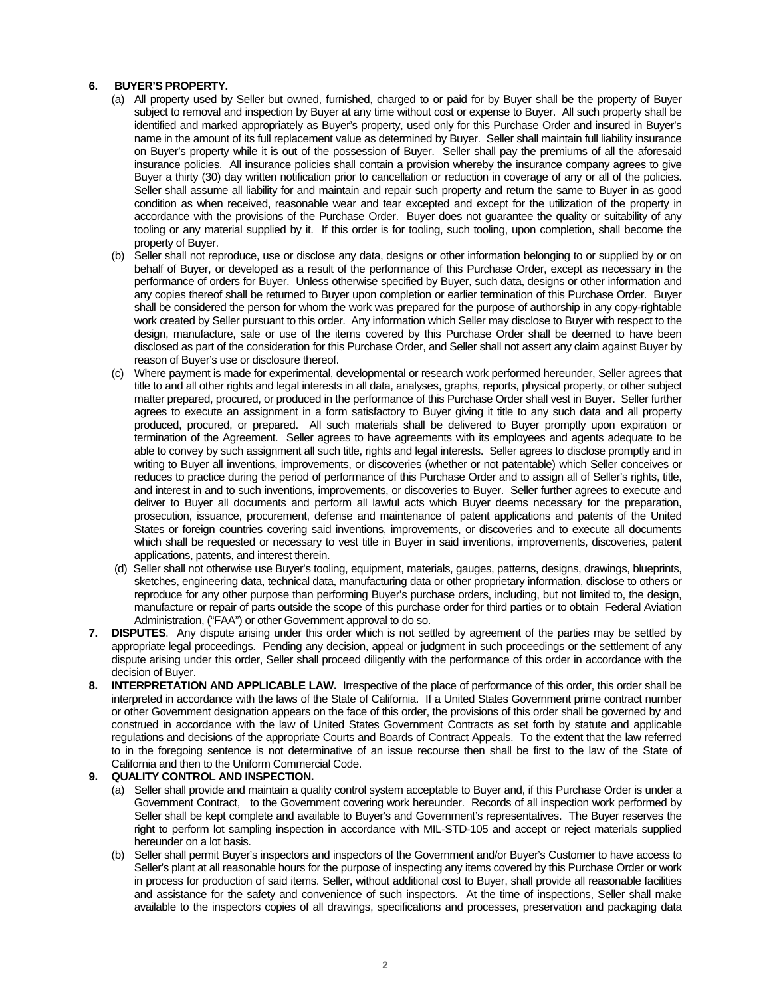# **6. BUYER'S PROPERTY.**

- (a) All property used by Seller but owned, furnished, charged to or paid for by Buyer shall be the property of Buyer subject to removal and inspection by Buyer at any time without cost or expense to Buyer. All such property shall be identified and marked appropriately as Buyer's property, used only for this Purchase Order and insured in Buyer's name in the amount of its full replacement value as determined by Buyer. Seller shall maintain full liability insurance on Buyer's property while it is out of the possession of Buyer. Seller shall pay the premiums of all the aforesaid insurance policies. All insurance policies shall contain a provision whereby the insurance company agrees to give Buyer a thirty (30) day written notification prior to cancellation or reduction in coverage of any or all of the policies. Seller shall assume all liability for and maintain and repair such property and return the same to Buyer in as good condition as when received, reasonable wear and tear excepted and except for the utilization of the property in accordance with the provisions of the Purchase Order. Buyer does not guarantee the quality or suitability of any tooling or any material supplied by it. If this order is for tooling, such tooling, upon completion, shall become the property of Buyer.
- (b) Seller shall not reproduce, use or disclose any data, designs or other information belonging to or supplied by or on behalf of Buyer, or developed as a result of the performance of this Purchase Order, except as necessary in the performance of orders for Buyer. Unless otherwise specified by Buyer, such data, designs or other information and any copies thereof shall be returned to Buyer upon completion or earlier termination of this Purchase Order. Buyer shall be considered the person for whom the work was prepared for the purpose of authorship in any copy-rightable work created by Seller pursuant to this order. Any information which Seller may disclose to Buyer with respect to the design, manufacture, sale or use of the items covered by this Purchase Order shall be deemed to have been disclosed as part of the consideration for this Purchase Order, and Seller shall not assert any claim against Buyer by reason of Buyer's use or disclosure thereof.
- (c) Where payment is made for experimental, developmental or research work performed hereunder, Seller agrees that title to and all other rights and legal interests in all data, analyses, graphs, reports, physical property, or other subject matter prepared, procured, or produced in the performance of this Purchase Order shall vest in Buyer. Seller further agrees to execute an assignment in a form satisfactory to Buyer giving it title to any such data and all property produced, procured, or prepared. All such materials shall be delivered to Buyer promptly upon expiration or termination of the Agreement. Seller agrees to have agreements with its employees and agents adequate to be able to convey by such assignment all such title, rights and legal interests. Seller agrees to disclose promptly and in writing to Buyer all inventions, improvements, or discoveries (whether or not patentable) which Seller conceives or reduces to practice during the period of performance of this Purchase Order and to assign all of Seller's rights, title, and interest in and to such inventions, improvements, or discoveries to Buyer. Seller further agrees to execute and deliver to Buyer all documents and perform all lawful acts which Buyer deems necessary for the preparation, prosecution, issuance, procurement, defense and maintenance of patent applications and patents of the United States or foreign countries covering said inventions, improvements, or discoveries and to execute all documents which shall be requested or necessary to vest title in Buyer in said inventions, improvements, discoveries, patent applications, patents, and interest therein.
- (d) Seller shall not otherwise use Buyer's tooling, equipment, materials, gauges, patterns, designs, drawings, blueprints, sketches, engineering data, technical data, manufacturing data or other proprietary information, disclose to others or reproduce for any other purpose than performing Buyer's purchase orders, including, but not limited to, the design, manufacture or repair of parts outside the scope of this purchase order for third parties or to obtain Federal Aviation Administration, ("FAA") or other Government approval to do so.
- **7. DISPUTES**. Any dispute arising under this order which is not settled by agreement of the parties may be settled by appropriate legal proceedings. Pending any decision, appeal or judgment in such proceedings or the settlement of any dispute arising under this order, Seller shall proceed diligently with the performance of this order in accordance with the decision of Buyer.
- **8. INTERPRETATION AND APPLICABLE LAW.** Irrespective of the place of performance of this order, this order shall be interpreted in accordance with the laws of the State of California. If a United States Government prime contract number or other Government designation appears on the face of this order, the provisions of this order shall be governed by and construed in accordance with the law of United States Government Contracts as set forth by statute and applicable regulations and decisions of the appropriate Courts and Boards of Contract Appeals. To the extent that the law referred to in the foregoing sentence is not determinative of an issue recourse then shall be first to the law of the State of California and then to the Uniform Commercial Code.

#### **9. QUALITY CONTROL AND INSPECTION.**

- (a) Seller shall provide and maintain a quality control system acceptable to Buyer and, if this Purchase Order is under a Government Contract, to the Government covering work hereunder. Records of all inspection work performed by Seller shall be kept complete and available to Buyer's and Government's representatives. The Buyer reserves the right to perform lot sampling inspection in accordance with MIL-STD-105 and accept or reject materials supplied hereunder on a lot basis.
- (b) Seller shall permit Buyer's inspectors and inspectors of the Government and/or Buyer's Customer to have access to Seller's plant at all reasonable hours for the purpose of inspecting any items covered by this Purchase Order or work in process for production of said items. Seller, without additional cost to Buyer, shall provide all reasonable facilities and assistance for the safety and convenience of such inspectors. At the time of inspections, Seller shall make available to the inspectors copies of all drawings, specifications and processes, preservation and packaging data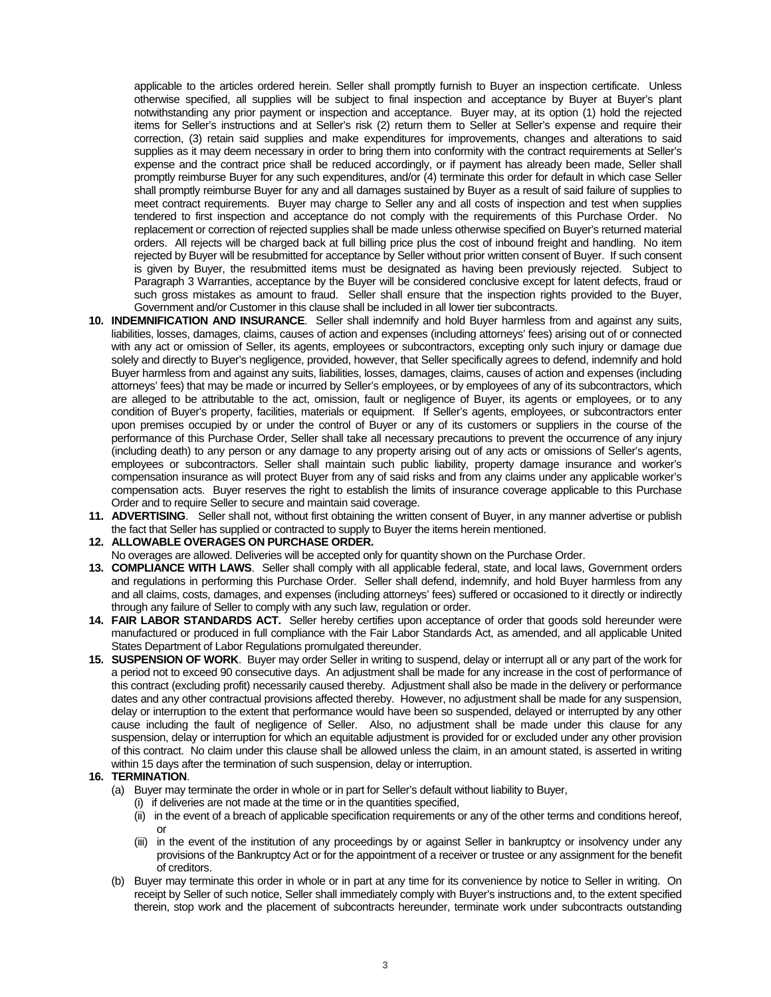applicable to the articles ordered herein. Seller shall promptly furnish to Buyer an inspection certificate. Unless otherwise specified, all supplies will be subject to final inspection and acceptance by Buyer at Buyer's plant notwithstanding any prior payment or inspection and acceptance. Buyer may, at its option (1) hold the rejected items for Seller's instructions and at Seller's risk (2) return them to Seller at Seller's expense and require their correction, (3) retain said supplies and make expenditures for improvements, changes and alterations to said supplies as it may deem necessary in order to bring them into conformity with the contract requirements at Seller's expense and the contract price shall be reduced accordingly, or if payment has already been made, Seller shall promptly reimburse Buyer for any such expenditures, and/or (4) terminate this order for default in which case Seller shall promptly reimburse Buyer for any and all damages sustained by Buyer as a result of said failure of supplies to meet contract requirements. Buyer may charge to Seller any and all costs of inspection and test when supplies tendered to first inspection and acceptance do not comply with the requirements of this Purchase Order. No replacement or correction of rejected supplies shall be made unless otherwise specified on Buyer's returned material orders. All rejects will be charged back at full billing price plus the cost of inbound freight and handling. No item rejected by Buyer will be resubmitted for acceptance by Seller without prior written consent of Buyer. If such consent is given by Buyer, the resubmitted items must be designated as having been previously rejected. Subject to Paragraph 3 Warranties, acceptance by the Buyer will be considered conclusive except for latent defects, fraud or such gross mistakes as amount to fraud. Seller shall ensure that the inspection rights provided to the Buyer, Government and/or Customer in this clause shall be included in all lower tier subcontracts.

- **10. INDEMNIFICATION AND INSURANCE**. Seller shall indemnify and hold Buyer harmless from and against any suits, liabilities, losses, damages, claims, causes of action and expenses (including attorneys' fees) arising out of or connected with any act or omission of Seller, its agents, employees or subcontractors, excepting only such injury or damage due solely and directly to Buyer's negligence, provided, however, that Seller specifically agrees to defend, indemnify and hold Buyer harmless from and against any suits, liabilities, losses, damages, claims, causes of action and expenses (including attorneys' fees) that may be made or incurred by Seller's employees, or by employees of any of its subcontractors, which are alleged to be attributable to the act, omission, fault or negligence of Buyer, its agents or employees, or to any condition of Buyer's property, facilities, materials or equipment. If Seller's agents, employees, or subcontractors enter upon premises occupied by or under the control of Buyer or any of its customers or suppliers in the course of the performance of this Purchase Order, Seller shall take all necessary precautions to prevent the occurrence of any injury (including death) to any person or any damage to any property arising out of any acts or omissions of Seller's agents, employees or subcontractors. Seller shall maintain such public liability, property damage insurance and worker's compensation insurance as will protect Buyer from any of said risks and from any claims under any applicable worker's compensation acts. Buyer reserves the right to establish the limits of insurance coverage applicable to this Purchase Order and to require Seller to secure and maintain said coverage.
- **11. ADVERTISING**. Seller shall not, without first obtaining the written consent of Buyer, in any manner advertise or publish the fact that Seller has supplied or contracted to supply to Buyer the items herein mentioned.
- **12. ALLOWABLE OVERAGES ON PURCHASE ORDER.**
- No overages are allowed. Deliveries will be accepted only for quantity shown on the Purchase Order.
- **13. COMPLIANCE WITH LAWS**. Seller shall comply with all applicable federal, state, and local laws, Government orders and regulations in performing this Purchase Order. Seller shall defend, indemnify, and hold Buyer harmless from any and all claims, costs, damages, and expenses (including attorneys' fees) suffered or occasioned to it directly or indirectly through any failure of Seller to comply with any such law, regulation or order.
- **14. FAIR LABOR STANDARDS ACT.** Seller hereby certifies upon acceptance of order that goods sold hereunder were manufactured or produced in full compliance with the Fair Labor Standards Act, as amended, and all applicable United States Department of Labor Regulations promulgated thereunder.
- **15. SUSPENSION OF WORK**. Buyer may order Seller in writing to suspend, delay or interrupt all or any part of the work for a period not to exceed 90 consecutive days. An adjustment shall be made for any increase in the cost of performance of this contract (excluding profit) necessarily caused thereby. Adjustment shall also be made in the delivery or performance dates and any other contractual provisions affected thereby. However, no adjustment shall be made for any suspension, delay or interruption to the extent that performance would have been so suspended, delayed or interrupted by any other cause including the fault of negligence of Seller. Also, no adjustment shall be made under this clause for any suspension, delay or interruption for which an equitable adjustment is provided for or excluded under any other provision of this contract. No claim under this clause shall be allowed unless the claim, in an amount stated, is asserted in writing within 15 days after the termination of such suspension, delay or interruption.

#### **16. TERMINATION**.

- (a) Buyer may terminate the order in whole or in part for Seller's default without liability to Buyer,
	- (i) if deliveries are not made at the time or in the quantities specified,
	- (ii) in the event of a breach of applicable specification requirements or any of the other terms and conditions hereof, or
	- (iii) in the event of the institution of any proceedings by or against Seller in bankruptcy or insolvency under any provisions of the Bankruptcy Act or for the appointment of a receiver or trustee or any assignment for the benefit of creditors.
- (b) Buyer may terminate this order in whole or in part at any time for its convenience by notice to Seller in writing. On receipt by Seller of such notice, Seller shall immediately comply with Buyer's instructions and, to the extent specified therein, stop work and the placement of subcontracts hereunder, terminate work under subcontracts outstanding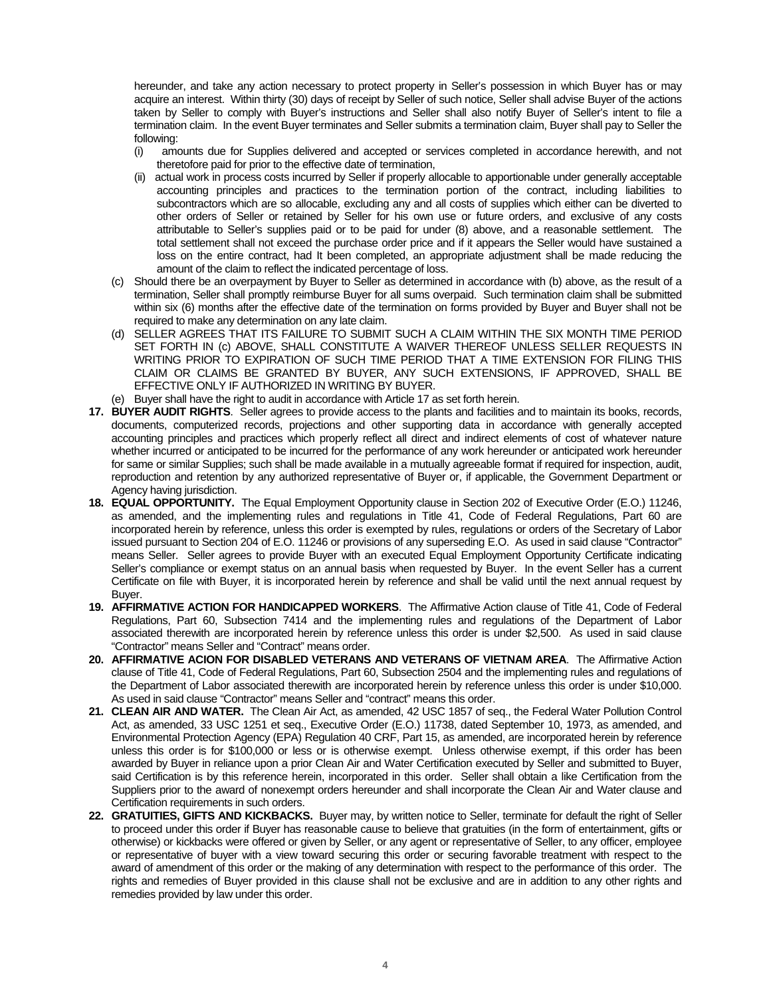hereunder, and take any action necessary to protect property in Seller's possession in which Buyer has or may acquire an interest. Within thirty (30) days of receipt by Seller of such notice, Seller shall advise Buyer of the actions taken by Seller to comply with Buyer's instructions and Seller shall also notify Buyer of Seller's intent to file a termination claim. In the event Buyer terminates and Seller submits a termination claim, Buyer shall pay to Seller the following:

- (i) amounts due for Supplies delivered and accepted or services completed in accordance herewith, and not theretofore paid for prior to the effective date of termination,
- (ii) actual work in process costs incurred by Seller if properly allocable to apportionable under generally acceptable accounting principles and practices to the termination portion of the contract, including liabilities to subcontractors which are so allocable, excluding any and all costs of supplies which either can be diverted to other orders of Seller or retained by Seller for his own use or future orders, and exclusive of any costs attributable to Seller's supplies paid or to be paid for under (8) above, and a reasonable settlement. The total settlement shall not exceed the purchase order price and if it appears the Seller would have sustained a loss on the entire contract, had It been completed, an appropriate adjustment shall be made reducing the amount of the claim to reflect the indicated percentage of loss.
- (c) Should there be an overpayment by Buyer to Seller as determined in accordance with (b) above, as the result of a termination, Seller shall promptly reimburse Buyer for all sums overpaid. Such termination claim shall be submitted within six (6) months after the effective date of the termination on forms provided by Buyer and Buyer shall not be required to make any determination on any late claim.
- (d) SELLER AGREES THAT ITS FAILURE TO SUBMIT SUCH A CLAIM WITHIN THE SIX MONTH TIME PERIOD SET FORTH IN (c) ABOVE, SHALL CONSTITUTE A WAIVER THEREOF UNLESS SELLER REQUESTS IN WRITING PRIOR TO EXPIRATION OF SUCH TIME PERIOD THAT A TIME EXTENSION FOR FILING THIS CLAIM OR CLAIMS BE GRANTED BY BUYER, ANY SUCH EXTENSIONS, IF APPROVED, SHALL BE EFFECTIVE ONLY IF AUTHORIZED IN WRITING BY BUYER.
- (e) Buyer shall have the right to audit in accordance with Article 17 as set forth herein.
- **17. BUYER AUDIT RIGHTS**. Seller agrees to provide access to the plants and facilities and to maintain its books, records, documents, computerized records, projections and other supporting data in accordance with generally accepted accounting principles and practices which properly reflect all direct and indirect elements of cost of whatever nature whether incurred or anticipated to be incurred for the performance of any work hereunder or anticipated work hereunder for same or similar Supplies; such shall be made available in a mutually agreeable format if required for inspection, audit, reproduction and retention by any authorized representative of Buyer or, if applicable, the Government Department or Agency having jurisdiction.
- **18. EQUAL OPPORTUNITY.** The Equal Employment Opportunity clause in Section 202 of Executive Order (E.O.) 11246, as amended, and the implementing rules and regulations in Title 41, Code of Federal Regulations, Part 60 are incorporated herein by reference, unless this order is exempted by rules, regulations or orders of the Secretary of Labor issued pursuant to Section 204 of E.O. 11246 or provisions of any superseding E.O. As used in said clause "Contractor" means Seller. Seller agrees to provide Buyer with an executed Equal Employment Opportunity Certificate indicating Seller's compliance or exempt status on an annual basis when requested by Buyer. In the event Seller has a current Certificate on file with Buyer, it is incorporated herein by reference and shall be valid until the next annual request by Buyer.
- **19. AFFIRMATIVE ACTION FOR HANDICAPPED WORKERS**. The Affirmative Action clause of Title 41, Code of Federal Regulations, Part 60, Subsection 7414 and the implementing rules and regulations of the Department of Labor associated therewith are incorporated herein by reference unless this order is under \$2,500. As used in said clause "Contractor" means Seller and "Contract" means order.
- **20. AFFIRMATIVE ACION FOR DISABLED VETERANS AND VETERANS OF VIETNAM AREA**. The Affirmative Action clause of Title 41, Code of Federal Regulations, Part 60, Subsection 2504 and the implementing rules and regulations of the Department of Labor associated therewith are incorporated herein by reference unless this order is under \$10,000. As used in said clause "Contractor" means Seller and "contract" means this order.
- **21. CLEAN AIR AND WATER.** The Clean Air Act, as amended, 42 USC 1857 of seq., the Federal Water Pollution Control Act, as amended, 33 USC 1251 et seq., Executive Order (E.O.) 11738, dated September 10, 1973, as amended, and Environmental Protection Agency (EPA) Regulation 40 CRF, Part 15, as amended, are incorporated herein by reference unless this order is for \$100,000 or less or is otherwise exempt. Unless otherwise exempt, if this order has been awarded by Buyer in reliance upon a prior Clean Air and Water Certification executed by Seller and submitted to Buyer, said Certification is by this reference herein, incorporated in this order. Seller shall obtain a like Certification from the Suppliers prior to the award of nonexempt orders hereunder and shall incorporate the Clean Air and Water clause and Certification requirements in such orders.
- **22. GRATUITIES, GIFTS AND KICKBACKS.** Buyer may, by written notice to Seller, terminate for default the right of Seller to proceed under this order if Buyer has reasonable cause to believe that gratuities (in the form of entertainment, gifts or otherwise) or kickbacks were offered or given by Seller, or any agent or representative of Seller, to any officer, employee or representative of buyer with a view toward securing this order or securing favorable treatment with respect to the award of amendment of this order or the making of any determination with respect to the performance of this order. The rights and remedies of Buyer provided in this clause shall not be exclusive and are in addition to any other rights and remedies provided by law under this order.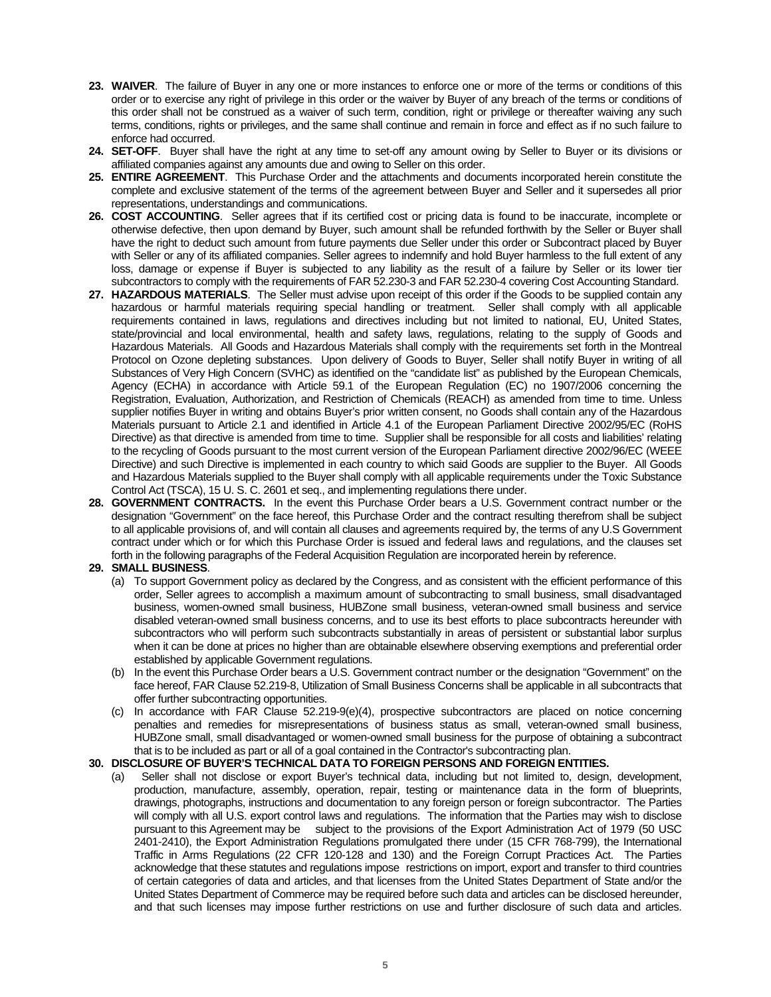- **23. WAIVER**. The failure of Buyer in any one or more instances to enforce one or more of the terms or conditions of this order or to exercise any right of privilege in this order or the waiver by Buyer of any breach of the terms or conditions of this order shall not be construed as a waiver of such term, condition, right or privilege or thereafter waiving any such terms, conditions, rights or privileges, and the same shall continue and remain in force and effect as if no such failure to enforce had occurred.
- **24. SET-OFF**. Buyer shall have the right at any time to set-off any amount owing by Seller to Buyer or its divisions or affiliated companies against any amounts due and owing to Seller on this order.
- **25. ENTIRE AGREEMENT**. This Purchase Order and the attachments and documents incorporated herein constitute the complete and exclusive statement of the terms of the agreement between Buyer and Seller and it supersedes all prior representations, understandings and communications.
- **26. COST ACCOUNTING**. Seller agrees that if its certified cost or pricing data is found to be inaccurate, incomplete or otherwise defective, then upon demand by Buyer, such amount shall be refunded forthwith by the Seller or Buyer shall have the right to deduct such amount from future payments due Seller under this order or Subcontract placed by Buyer with Seller or any of its affiliated companies. Seller agrees to indemnify and hold Buyer harmless to the full extent of any loss, damage or expense if Buyer is subjected to any liability as the result of a failure by Seller or its lower tier subcontractors to comply with the requirements of FAR 52.230-3 and FAR 52.230-4 covering Cost Accounting Standard.
- **27. HAZARDOUS MATERIALS**. The Seller must advise upon receipt of this order if the Goods to be supplied contain any hazardous or harmful materials requiring special handling or treatment. Seller shall comply with all applicable requirements contained in laws, regulations and directives including but not limited to national, EU, United States, state/provincial and local environmental, health and safety laws, regulations, relating to the supply of Goods and Hazardous Materials. All Goods and Hazardous Materials shall comply with the requirements set forth in the Montreal Protocol on Ozone depleting substances. Upon delivery of Goods to Buyer, Seller shall notify Buyer in writing of all Substances of Very High Concern (SVHC) as identified on the "candidate list" as published by the European Chemicals, Agency (ECHA) in accordance with Article 59.1 of the European Regulation (EC) no 1907/2006 concerning the Registration, Evaluation, Authorization, and Restriction of Chemicals (REACH) as amended from time to time. Unless supplier notifies Buyer in writing and obtains Buyer's prior written consent, no Goods shall contain any of the Hazardous Materials pursuant to Article 2.1 and identified in Article 4.1 of the European Parliament Directive 2002/95/EC (RoHS Directive) as that directive is amended from time to time. Supplier shall be responsible for all costs and liabilities' relating to the recycling of Goods pursuant to the most current version of the European Parliament directive 2002/96/EC (WEEE Directive) and such Directive is implemented in each country to which said Goods are supplier to the Buyer. All Goods and Hazardous Materials supplied to the Buyer shall comply with all applicable requirements under the Toxic Substance Control Act (TSCA), 15 U. S. C. 2601 et seq., and implementing regulations there under.
- **28. GOVERNMENT CONTRACTS.** In the event this Purchase Order bears a U.S. Government contract number or the designation "Government" on the face hereof, this Purchase Order and the contract resulting therefrom shall be subject to all applicable provisions of, and will contain all clauses and agreements required by, the terms of any U.S Government contract under which or for which this Purchase Order is issued and federal laws and regulations, and the clauses set forth in the following paragraphs of the Federal Acquisition Regulation are incorporated herein by reference.

#### **29. SMALL BUSINESS**.

- (a) To support Government policy as declared by the Congress, and as consistent with the efficient performance of this order, Seller agrees to accomplish a maximum amount of subcontracting to small business, small disadvantaged business, women-owned small business, HUBZone small business, veteran-owned small business and service disabled veteran-owned small business concerns, and to use its best efforts to place subcontracts hereunder with subcontractors who will perform such subcontracts substantially in areas of persistent or substantial labor surplus when it can be done at prices no higher than are obtainable elsewhere observing exemptions and preferential order established by applicable Government regulations.
- (b) In the event this Purchase Order bears a U.S. Government contract number or the designation "Government" on the face hereof, FAR Clause 52.219-8, Utilization of Small Business Concerns shall be applicable in all subcontracts that offer further subcontracting opportunities.
- (c) In accordance with FAR Clause 52.219-9(e)(4), prospective subcontractors are placed on notice concerning penalties and remedies for misrepresentations of business status as small, veteran-owned small business, HUBZone small, small disadvantaged or women-owned small business for the purpose of obtaining a subcontract that is to be included as part or all of a goal contained in the Contractor's subcontracting plan.

#### **30. DISCLOSURE OF BUYER'S TECHNICAL DATA TO FOREIGN PERSONS AND FOREIGN ENTITIES.**

(a) Seller shall not disclose or export Buyer's technical data, including but not limited to, design, development, production, manufacture, assembly, operation, repair, testing or maintenance data in the form of blueprints, drawings, photographs, instructions and documentation to any foreign person or foreign subcontractor. The Parties will comply with all U.S. export control laws and regulations. The information that the Parties may wish to disclose pursuant to this Agreement may be subject to the provisions of the Export Administration Act of 1979 (50 USC 2401-2410), the Export Administration Regulations promulgated there under (15 CFR 768-799), the International Traffic in Arms Regulations (22 CFR 120-128 and 130) and the Foreign Corrupt Practices Act. The Parties acknowledge that these statutes and regulations impose restrictions on import, export and transfer to third countries of certain categories of data and articles, and that licenses from the United States Department of State and/or the United States Department of Commerce may be required before such data and articles can be disclosed hereunder, and that such licenses may impose further restrictions on use and further disclosure of such data and articles.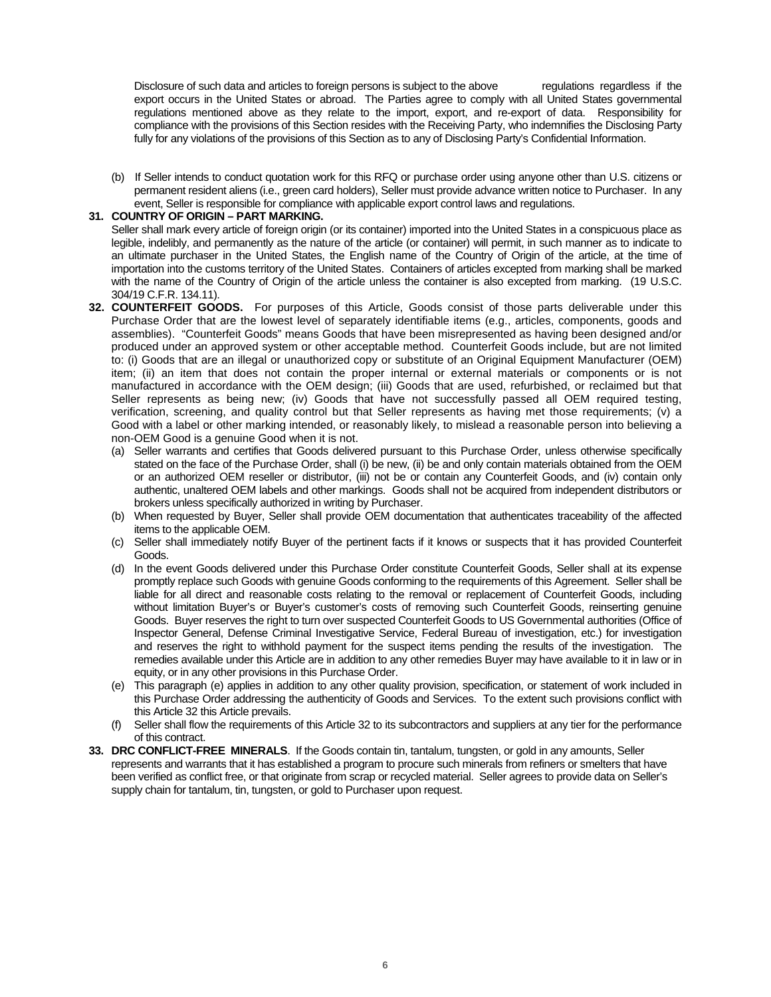Disclosure of such data and articles to foreign persons is subject to the above regulations regardless if the export occurs in the United States or abroad. The Parties agree to comply with all United States governmental regulations mentioned above as they relate to the import, export, and re-export of data. Responsibility for compliance with the provisions of this Section resides with the Receiving Party, who indemnifies the Disclosing Party fully for any violations of the provisions of this Section as to any of Disclosing Party's Confidential Information.

(b) If Seller intends to conduct quotation work for this RFQ or purchase order using anyone other than U.S. citizens or permanent resident aliens (i.e., green card holders), Seller must provide advance written notice to Purchaser. In any event, Seller is responsible for compliance with applicable export control laws and regulations.

#### **31. COUNTRY OF ORIGIN – PART MARKING.**

Seller shall mark every article of foreign origin (or its container) imported into the United States in a conspicuous place as legible, indelibly, and permanently as the nature of the article (or container) will permit, in such manner as to indicate to an ultimate purchaser in the United States, the English name of the Country of Origin of the article, at the time of importation into the customs territory of the United States. Containers of articles excepted from marking shall be marked with the name of the Country of Origin of the article unless the container is also excepted from marking. (19 U.S.C. 304/19 C.F.R. 134.11).

- **32. COUNTERFEIT GOODS.** For purposes of this Article, Goods consist of those parts deliverable under this Purchase Order that are the lowest level of separately identifiable items (e.g., articles, components, goods and assemblies). "Counterfeit Goods" means Goods that have been misrepresented as having been designed and/or produced under an approved system or other acceptable method. Counterfeit Goods include, but are not limited to: (i) Goods that are an illegal or unauthorized copy or substitute of an Original Equipment Manufacturer (OEM) item; (ii) an item that does not contain the proper internal or external materials or components or is not manufactured in accordance with the OEM design; (iii) Goods that are used, refurbished, or reclaimed but that Seller represents as being new; (iv) Goods that have not successfully passed all OEM required testing, verification, screening, and quality control but that Seller represents as having met those requirements; (v) a Good with a label or other marking intended, or reasonably likely, to mislead a reasonable person into believing a non-OEM Good is a genuine Good when it is not.
	- (a) Seller warrants and certifies that Goods delivered pursuant to this Purchase Order, unless otherwise specifically stated on the face of the Purchase Order, shall (i) be new, (ii) be and only contain materials obtained from the OEM or an authorized OEM reseller or distributor, (iii) not be or contain any Counterfeit Goods, and (iv) contain only authentic, unaltered OEM labels and other markings. Goods shall not be acquired from independent distributors or brokers unless specifically authorized in writing by Purchaser.
	- (b) When requested by Buyer, Seller shall provide OEM documentation that authenticates traceability of the affected items to the applicable OEM.
	- (c) Seller shall immediately notify Buyer of the pertinent facts if it knows or suspects that it has provided Counterfeit Goods.
	- (d) In the event Goods delivered under this Purchase Order constitute Counterfeit Goods, Seller shall at its expense promptly replace such Goods with genuine Goods conforming to the requirements of this Agreement. Seller shall be liable for all direct and reasonable costs relating to the removal or replacement of Counterfeit Goods, including without limitation Buyer's or Buyer's customer's costs of removing such Counterfeit Goods, reinserting genuine Goods. Buyer reserves the right to turn over suspected Counterfeit Goods to US Governmental authorities (Office of Inspector General, Defense Criminal Investigative Service, Federal Bureau of investigation, etc.) for investigation and reserves the right to withhold payment for the suspect items pending the results of the investigation. The remedies available under this Article are in addition to any other remedies Buyer may have available to it in law or in equity, or in any other provisions in this Purchase Order.
	- (e) This paragraph (e) applies in addition to any other quality provision, specification, or statement of work included in this Purchase Order addressing the authenticity of Goods and Services. To the extent such provisions conflict with this Article 32 this Article prevails.
	- (f) Seller shall flow the requirements of this Article 32 to its subcontractors and suppliers at any tier for the performance of this contract.
- **33. DRC CONFLICT-FREE MINERALS**. If the Goods contain tin, tantalum, tungsten, or gold in any amounts, Seller represents and warrants that it has established a program to procure such minerals from refiners or smelters that have been verified as conflict free, or that originate from scrap or recycled material. Seller agrees to provide data on Seller's supply chain for tantalum, tin, tungsten, or gold to Purchaser upon request.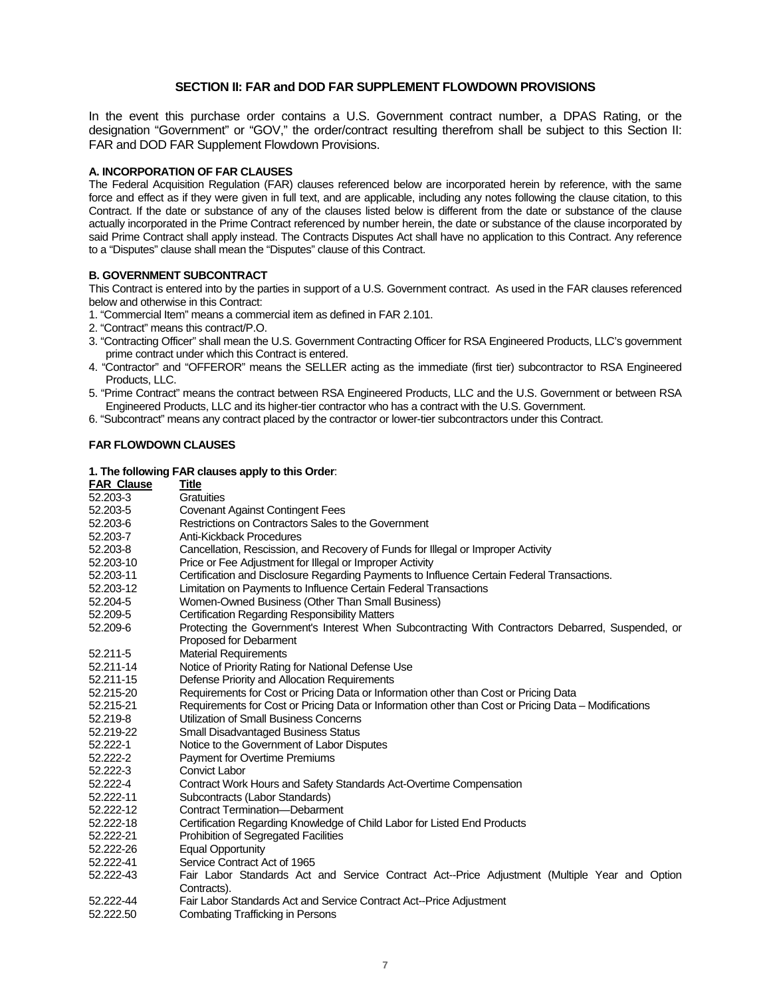# **SECTION II: FAR and DOD FAR SUPPLEMENT FLOWDOWN PROVISIONS**

In the event this purchase order contains a U.S. Government contract number, a DPAS Rating, or the designation "Government" or "GOV," the order/contract resulting therefrom shall be subject to this Section II: FAR and DOD FAR Supplement Flowdown Provisions.

#### **A. INCORPORATION OF FAR CLAUSES**

The Federal Acquisition Regulation (FAR) clauses referenced below are incorporated herein by reference, with the same force and effect as if they were given in full text, and are applicable, including any notes following the clause citation, to this Contract. If the date or substance of any of the clauses listed below is different from the date or substance of the clause actually incorporated in the Prime Contract referenced by number herein, the date or substance of the clause incorporated by said Prime Contract shall apply instead. The Contracts Disputes Act shall have no application to this Contract. Any reference to a "Disputes" clause shall mean the "Disputes" clause of this Contract.

## **B. GOVERNMENT SUBCONTRACT**

This Contract is entered into by the parties in support of a U.S. Government contract. As used in the FAR clauses referenced below and otherwise in this Contract:

- 1. "Commercial Item" means a commercial item as defined in FAR 2.101.
- 2. "Contract" means this contract/P.O.
- 3. "Contracting Officer" shall mean the U.S. Government Contracting Officer for RSA Engineered Products, LLC's government prime contract under which this Contract is entered.
- 4. "Contractor" and "OFFEROR" means the SELLER acting as the immediate (first tier) subcontractor to RSA Engineered Products, LLC.
- 5. "Prime Contract" means the contract between RSA Engineered Products, LLC and the U.S. Government or between RSA Engineered Products, LLC and its higher-tier contractor who has a contract with the U.S. Government.
- 6. "Subcontract" means any contract placed by the contractor or lower-tier subcontractors under this Contract.

## **FAR FLOWDOWN CLAUSES**

# **1. The following FAR clauses apply to this Order**:

|                   | $\sim$ and ignowing a $\sim$ clauses apply to this Gruen.                                            |
|-------------------|------------------------------------------------------------------------------------------------------|
| <b>FAR Clause</b> | Title                                                                                                |
| 52.203-3          | <b>Gratuities</b>                                                                                    |
| 52,203-5          | <b>Covenant Against Contingent Fees</b>                                                              |
| 52.203-6          | Restrictions on Contractors Sales to the Government                                                  |
| 52.203-7          | Anti-Kickback Procedures                                                                             |
| 52.203-8          | Cancellation, Rescission, and Recovery of Funds for Illegal or Improper Activity                     |
| 52.203-10         | Price or Fee Adjustment for Illegal or Improper Activity                                             |
| 52.203-11         | Certification and Disclosure Regarding Payments to Influence Certain Federal Transactions.           |
| 52.203-12         | Limitation on Payments to Influence Certain Federal Transactions                                     |
| 52.204-5          | Women-Owned Business (Other Than Small Business)                                                     |
| 52.209-5          | <b>Certification Regarding Responsibility Matters</b>                                                |
| 52.209-6          | Protecting the Government's Interest When Subcontracting With Contractors Debarred, Suspended, or    |
|                   | Proposed for Debarment                                                                               |
| 52.211-5          | <b>Material Requirements</b>                                                                         |
| 52.211-14         | Notice of Priority Rating for National Defense Use                                                   |
| 52.211-15         | Defense Priority and Allocation Requirements                                                         |
| 52.215-20         | Requirements for Cost or Pricing Data or Information other than Cost or Pricing Data                 |
| 52.215-21         | Requirements for Cost or Pricing Data or Information other than Cost or Pricing Data - Modifications |
| 52.219-8          | Utilization of Small Business Concerns                                                               |
| 52.219-22         | <b>Small Disadvantaged Business Status</b>                                                           |
| 52.222-1          | Notice to the Government of Labor Disputes                                                           |
| 52.222-2          | <b>Payment for Overtime Premiums</b>                                                                 |
| 52.222-3          | <b>Convict Labor</b>                                                                                 |
| 52.222-4          | Contract Work Hours and Safety Standards Act-Overtime Compensation                                   |
| 52.222-11         | Subcontracts (Labor Standards)                                                                       |
| 52.222-12         | <b>Contract Termination--Debarment</b>                                                               |
| 52.222-18         | Certification Regarding Knowledge of Child Labor for Listed End Products                             |
| 52.222-21         | <b>Prohibition of Segregated Facilities</b>                                                          |
| 52.222-26         | <b>Equal Opportunity</b>                                                                             |
| 52.222-41         | Service Contract Act of 1965                                                                         |
| 52.222-43         | Fair Labor Standards Act and Service Contract Act--Price Adjustment (Multiple Year and Option        |
|                   | Contracts).                                                                                          |
| 52.222-44         | Fair Labor Standards Act and Service Contract Act--Price Adjustment                                  |
| 52 222 50         | Combating Trafficking in Persons                                                                     |

Combating Trafficking in Persons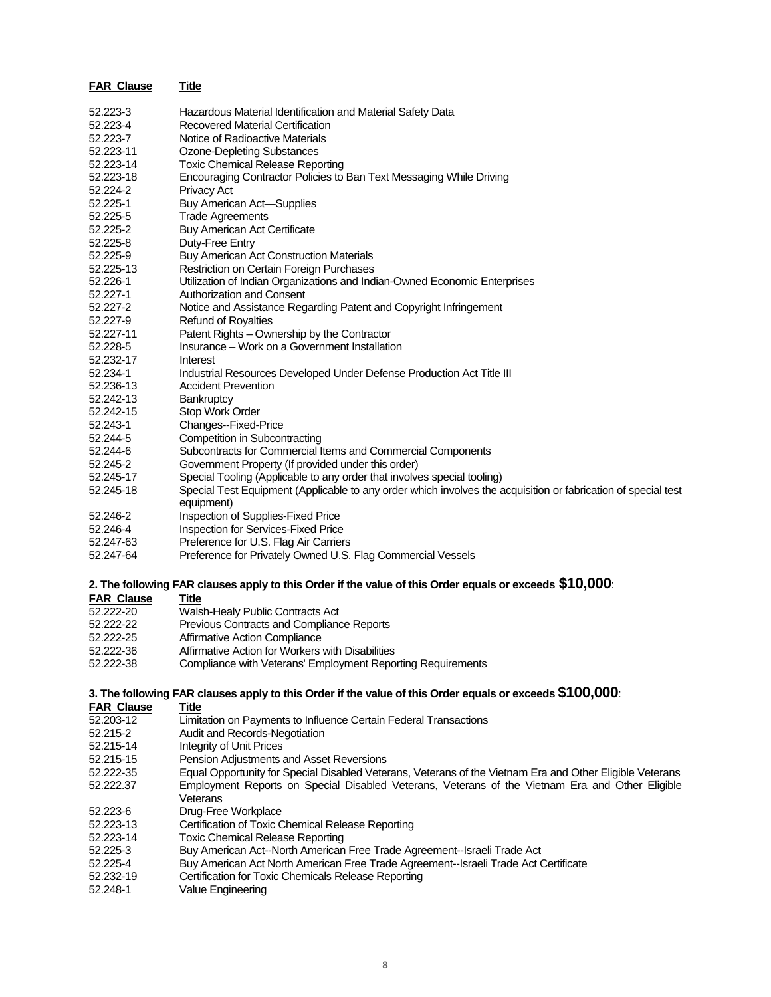| <b>FAR Clause</b> | Title                                                                                                                       |
|-------------------|-----------------------------------------------------------------------------------------------------------------------------|
| 52.223-3          | Hazardous Material Identification and Material Safety Data                                                                  |
| 52.223-4          | <b>Recovered Material Certification</b>                                                                                     |
| 52.223-7          | Notice of Radioactive Materials                                                                                             |
| 52.223-11         | <b>Ozone-Depleting Substances</b>                                                                                           |
| 52.223-14         | <b>Toxic Chemical Release Reporting</b>                                                                                     |
| 52.223-18         | Encouraging Contractor Policies to Ban Text Messaging While Driving                                                         |
| 52.224-2          | <b>Privacy Act</b>                                                                                                          |
| 52.225-1          | <b>Buy American Act-Supplies</b>                                                                                            |
| 52.225-5          | <b>Trade Agreements</b>                                                                                                     |
| 52.225-2          | <b>Buy American Act Certificate</b>                                                                                         |
| 52.225-8          | Duty-Free Entry                                                                                                             |
| 52.225-9          | Buy American Act Construction Materials                                                                                     |
| 52.225-13         | Restriction on Certain Foreign Purchases                                                                                    |
| 52.226-1          | Utilization of Indian Organizations and Indian-Owned Economic Enterprises                                                   |
| 52.227-1          | Authorization and Consent                                                                                                   |
| 52.227-2          | Notice and Assistance Regarding Patent and Copyright Infringement                                                           |
| 52.227-9          | <b>Refund of Royalties</b>                                                                                                  |
| 52.227-11         | Patent Rights - Ownership by the Contractor                                                                                 |
| 52.228-5          | Insurance – Work on a Government Installation                                                                               |
| 52.232-17         | Interest                                                                                                                    |
| 52.234-1          | Industrial Resources Developed Under Defense Production Act Title III                                                       |
| 52.236-13         | <b>Accident Prevention</b>                                                                                                  |
| 52.242-13         | Bankruptcy                                                                                                                  |
| 52.242-15         | Stop Work Order                                                                                                             |
| 52.243-1          | Changes--Fixed-Price                                                                                                        |
| 52.244-5          | Competition in Subcontracting                                                                                               |
| 52.244-6          | Subcontracts for Commercial Items and Commercial Components                                                                 |
| 52.245-2          | Government Property (If provided under this order)                                                                          |
| 52.245-17         | Special Tooling (Applicable to any order that involves special tooling)                                                     |
| 52.245-18         | Special Test Equipment (Applicable to any order which involves the acquisition or fabrication of special test<br>equipment) |
| 52.246-2          | Inspection of Supplies-Fixed Price                                                                                          |
| 52.246-4          | Inspection for Services-Fixed Price                                                                                         |
| 52.247-63         | Preference for U.S. Flag Air Carriers                                                                                       |
| 52.247-64         | Preference for Privately Owned U.S. Flag Commercial Vessels                                                                 |
|                   | 2. The following FAR clauses apply to this Order if the value of this Order equals or exceeds $\$10,\!000$ :                |

#### **FAR Clause Title**

| 52.222-20 | Walsh-Healy Public Contracts Act                            |
|-----------|-------------------------------------------------------------|
| 52.222-22 | Previous Contracts and Compliance Reports                   |
| 52.222-25 | Affirmative Action Compliance                               |
| 52.222-36 | Affirmative Action for Workers with Disabilities            |
| 52.222-38 | Compliance with Veterans' Employment Reporting Requirements |

# **3. The following FAR clauses apply to this Order if the value of this Order equals or exceeds \$100,000**:

| <b>FAR Clause</b> | Title                                                                                                    |
|-------------------|----------------------------------------------------------------------------------------------------------|
| 52.203-12         | Limitation on Payments to Influence Certain Federal Transactions                                         |
| 52.215-2          | Audit and Records-Negotiation                                                                            |
| 52.215-14         | Integrity of Unit Prices                                                                                 |
| 52.215-15         | Pension Adjustments and Asset Reversions                                                                 |
| 52.222-35         | Equal Opportunity for Special Disabled Veterans, Veterans of the Vietnam Era and Other Eligible Veterans |
| 52.222.37         | Employment Reports on Special Disabled Veterans, Veterans of the Vietnam Era and Other Eligible          |
|                   | Veterans                                                                                                 |
| 52.223-6          | Drug-Free Workplace                                                                                      |
| 52.223-13         | Certification of Toxic Chemical Release Reporting                                                        |
| 52.223-14         | Toxic Chemical Release Reporting                                                                         |
| 52.225-3          | Buy American Act--North American Free Trade Agreement--Israeli Trade Act                                 |
| 52.225-4          | Buy American Act North American Free Trade Agreement--Israeli Trade Act Certificate                      |
| 52.232-19         | Certification for Toxic Chemicals Release Reporting                                                      |
| 50.010A           | $\overline{\phantom{a}}$                                                                                 |

52.248-1 Value Engineering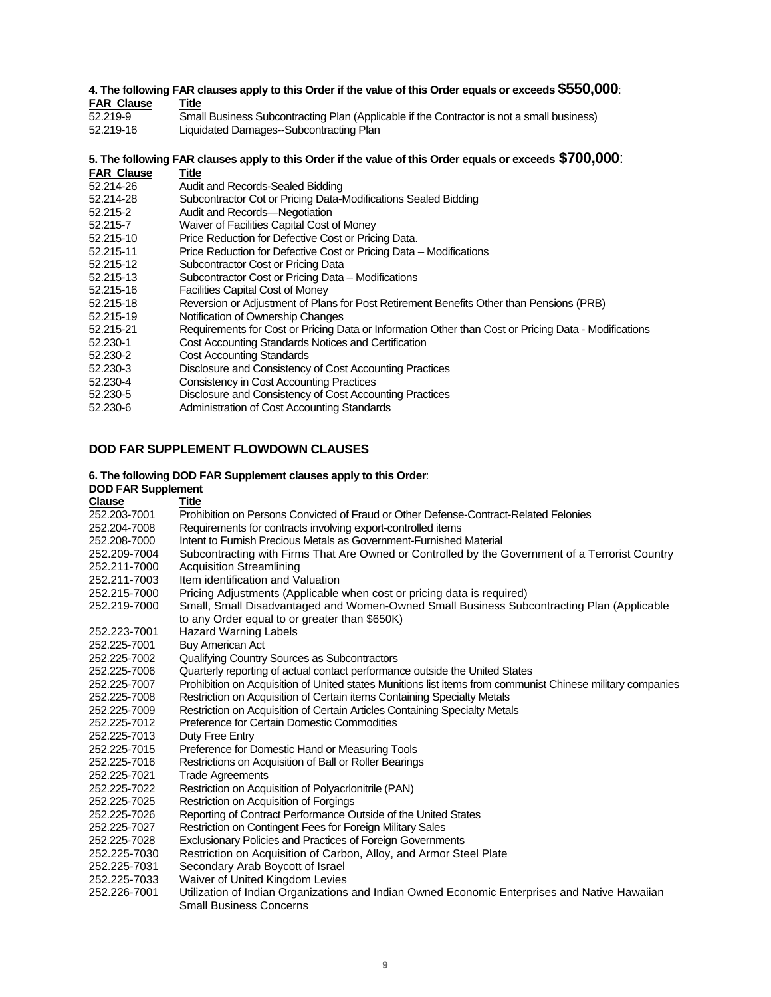# **4. The following FAR clauses apply to this Order if the value of this Order equals or exceeds \$550,000**: **FAR Clause Title**<br>52.219-9 Smal

- $\overline{\text{Small}}$  Business Subcontracting Plan (Applicable if the Contractor is not a small business)
- 52.219-16 Liquidated Damages--Subcontracting Plan

## **5. The following FAR clauses apply to this Order if the value of this Order equals or exceeds \$700,000**:

- **FAR Clause Title**
- 52.214-26 Audit and Records-Sealed Bidding Subcontractor Cot or Pricing Data-Modifications Sealed Bidding
- 52.215-2 Audit and Records—Negotiation
- 
- 52.215-7 Waiver of Facilities Capital Cost of Money<br>52.215-10 Price Reduction for Defective Cost or Prici Price Reduction for Defective Cost or Pricing Data.
- 52.215-11 Price Reduction for Defective Cost or Pricing Data Modifications
- 52.215-12 Subcontractor Cost or Pricing Data<br>52.215-13 Subcontractor Cost or Pricing Data
- 52.215-13 Subcontractor Cost or Pricing Data Modifications
- 52.215-16 Facilities Capital Cost of Money
- Reversion or Adjustment of Plans for Post Retirement Benefits Other than Pensions (PRB)
- 52.215-19 Notification of Ownership Changes
- 52.215-21 Requirements for Cost or Pricing Data or Information Other than Cost or Pricing Data Modifications
- 52.230-1 Cost Accounting Standards Notices and Certification
- 52.230-2 Cost Accounting Standards
- 52.230-3 Disclosure and Consistency of Cost Accounting Practices
- 52.230-4 Consistency in Cost Accounting Practices
- 52.230-5 Disclosure and Consistency of Cost Accounting Practices
- 52.230-6 Administration of Cost Accounting Standards

# **DOD FAR SUPPLEMENT FLOWDOWN CLAUSES**

## **6. The following DOD FAR Supplement clauses apply to this Order**:

#### **DOD FAR Supplement**

| <b>Clause</b> | <b>Title</b>                                                                                               |
|---------------|------------------------------------------------------------------------------------------------------------|
| 252.203-7001  | Prohibition on Persons Convicted of Fraud or Other Defense-Contract-Related Felonies                       |
| 252,204-7008  | Requirements for contracts involving export-controlled items                                               |
| 252.208-7000  | Intent to Furnish Precious Metals as Government-Furnished Material                                         |
| 252.209-7004  | Subcontracting with Firms That Are Owned or Controlled by the Government of a Terrorist Country            |
| 252.211-7000  | <b>Acquisition Streamlining</b>                                                                            |
| 252.211-7003  | Item identification and Valuation                                                                          |
| 252.215-7000  | Pricing Adjustments (Applicable when cost or pricing data is required)                                     |
| 252.219-7000  | Small, Small Disadvantaged and Women-Owned Small Business Subcontracting Plan (Applicable                  |
|               | to any Order equal to or greater than \$650K)                                                              |
| 252.223-7001  | <b>Hazard Warning Labels</b>                                                                               |
| 252.225-7001  | <b>Buy American Act</b>                                                                                    |
| 252,225-7002  | Qualifying Country Sources as Subcontractors                                                               |
| 252.225-7006  | Quarterly reporting of actual contact performance outside the United States                                |
| 252,225-7007  | Prohibition on Acquisition of United states Munitions list items from communist Chinese military companies |
| 252.225-7008  | Restriction on Acquisition of Certain items Containing Specialty Metals                                    |
| 252.225-7009  | Restriction on Acquisition of Certain Articles Containing Specialty Metals                                 |
| 252.225-7012  | Preference for Certain Domestic Commodities                                                                |
| 252.225-7013  | Duty Free Entry                                                                                            |
| 252.225-7015  | Preference for Domestic Hand or Measuring Tools                                                            |
| 252.225-7016  | Restrictions on Acquisition of Ball or Roller Bearings                                                     |
| 252.225-7021  | <b>Trade Agreements</b>                                                                                    |
| 252.225-7022  | Restriction on Acquisition of Polyacrlonitrile (PAN)                                                       |
| 252.225-7025  | Restriction on Acquisition of Forgings                                                                     |
| 252.225-7026  | Reporting of Contract Performance Outside of the United States                                             |
| 252.225-7027  | Restriction on Contingent Fees for Foreign Military Sales                                                  |
| 252,225-7028  | <b>Exclusionary Policies and Practices of Foreign Governments</b>                                          |
| 252.225-7030  | Restriction on Acquisition of Carbon, Alloy, and Armor Steel Plate                                         |
| 252.225-7031  | Secondary Arab Boycott of Israel                                                                           |
| 252.225-7033  | Waiver of United Kingdom Levies                                                                            |
| 252.226-7001  | Utilization of Indian Organizations and Indian Owned Economic Enterprises and Native Hawaiian              |
|               | <b>Small Business Concerns</b>                                                                             |